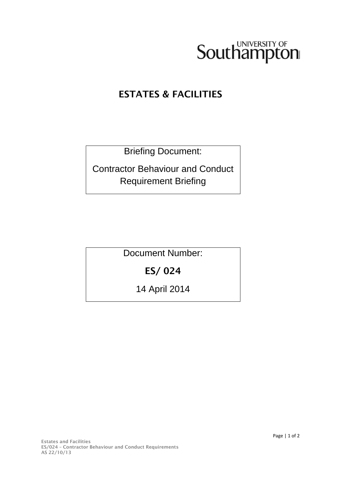

### ESTATES & FACILITIES

Briefing Document:

Contractor Behaviour and Conduct Requirement Briefing

Document Number:

## ES/ 024

14 April 2014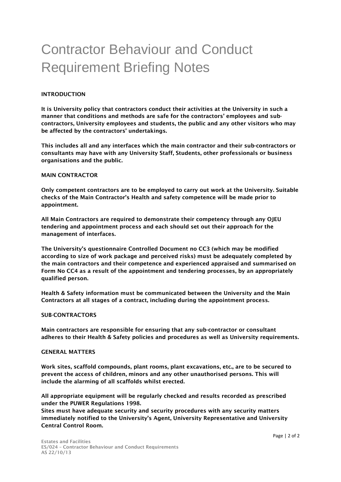# Contractor Behaviour and Conduct Requirement Briefing Notes

#### INTRODUCTION

It is University policy that contractors conduct their activities at the University in such a manner that conditions and methods are safe for the contractors' employees and subcontractors, University employees and students, the public and any other visitors who may be affected by the contractors' undertakings.

This includes all and any interfaces which the main contractor and their sub-contractors or consultants may have with any University Staff, Students, other professionals or business organisations and the public.

#### MAIN CONTRACTOR

Only competent contractors are to be employed to carry out work at the University. Suitable checks of the Main Contractor's Health and safety competence will be made prior to appointment.

All Main Contractors are required to demonstrate their competency through any OJEU tendering and appointment process and each should set out their approach for the management of interfaces.

The University's questionnaire Controlled Document no CC3 (which may be modified according to size of work package and perceived risks) must be adequately completed by the main contractors and their competence and experienced appraised and summarised on Form No CC4 as a result of the appointment and tendering processes, by an appropriately qualified person.

Health & Safety information must be communicated between the University and the Main Contractors at all stages of a contract, including during the appointment process.

#### SUB-CONTRACTORS

Main contractors are responsible for ensuring that any sub-contractor or consultant adheres to their Health & Safety policies and procedures as well as University requirements.

#### GENERAL MATTERS

Work sites, scaffold compounds, plant rooms, plant excavations, etc., are to be secured to prevent the access of children, minors and any other unauthorised persons. This will include the alarming of all scaffolds whilst erected.

All appropriate equipment will be regularly checked and results recorded as prescribed under the PUWER Regulations 1998.

Sites must have adequate security and security procedures with any security matters immediately notified to the University's Agent, University Representative and University Central Control Room.